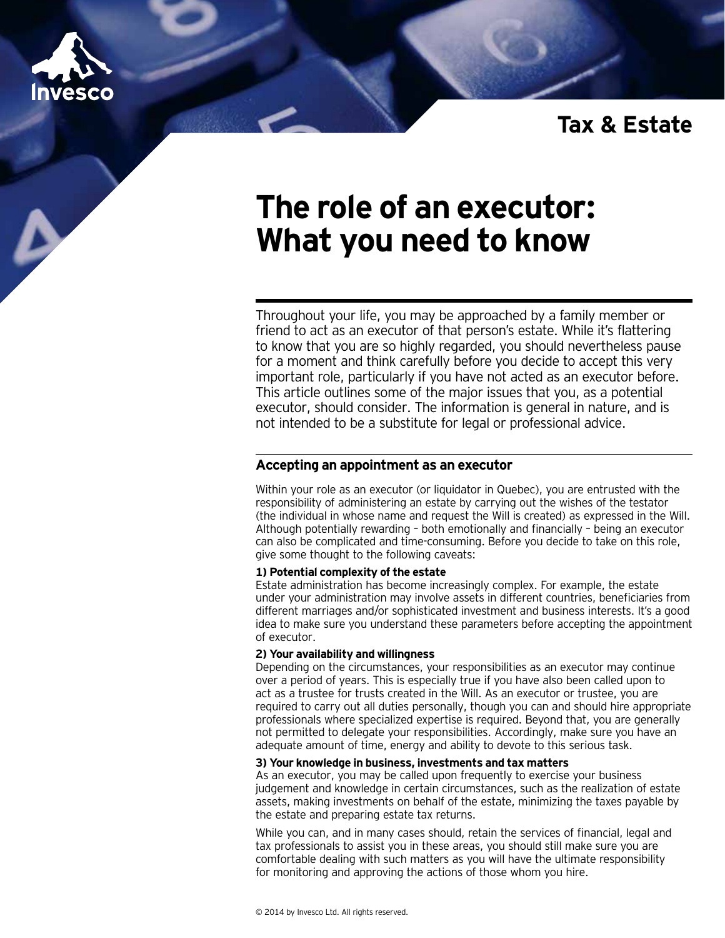

# **Tax & Estate**

# **The role of an executor: What you need to know**

Throughout your life, you may be approached by a family member or friend to act as an executor of that person's estate. While it's flattering to know that you are so highly regarded, you should nevertheless pause for a moment and think carefully before you decide to accept this very important role, particularly if you have not acted as an executor before. This article outlines some of the major issues that you, as a potential executor, should consider. The information is general in nature, and is not intended to be a substitute for legal or professional advice.

# **Accepting an appointment as an executor**

Within your role as an executor (or liquidator in Quebec), you are entrusted with the responsibility of administering an estate by carrying out the wishes of the testator (the individual in whose name and request the Will is created) as expressed in the Will. Although potentially rewarding – both emotionally and financially – being an executor can also be complicated and time-consuming. Before you decide to take on this role, give some thought to the following caveats:

#### **1) Potential complexity of the estate**

Estate administration has become increasingly complex. For example, the estate under your administration may involve assets in different countries, beneficiaries from different marriages and/or sophisticated investment and business interests. It's a good idea to make sure you understand these parameters before accepting the appointment of executor.

#### **2) Your availability and willingness**

Depending on the circumstances, your responsibilities as an executor may continue over a period of years. This is especially true if you have also been called upon to act as a trustee for trusts created in the Will. As an executor or trustee, you are required to carry out all duties personally, though you can and should hire appropriate professionals where specialized expertise is required. Beyond that, you are generally not permitted to delegate your responsibilities. Accordingly, make sure you have an adequate amount of time, energy and ability to devote to this serious task.

#### **3) Your knowledge in business, investments and tax matters**

As an executor, you may be called upon frequently to exercise your business judgement and knowledge in certain circumstances, such as the realization of estate assets, making investments on behalf of the estate, minimizing the taxes payable by the estate and preparing estate tax returns.

While you can, and in many cases should, retain the services of financial, legal and tax professionals to assist you in these areas, you should still make sure you are comfortable dealing with such matters as you will have the ultimate responsibility for monitoring and approving the actions of those whom you hire.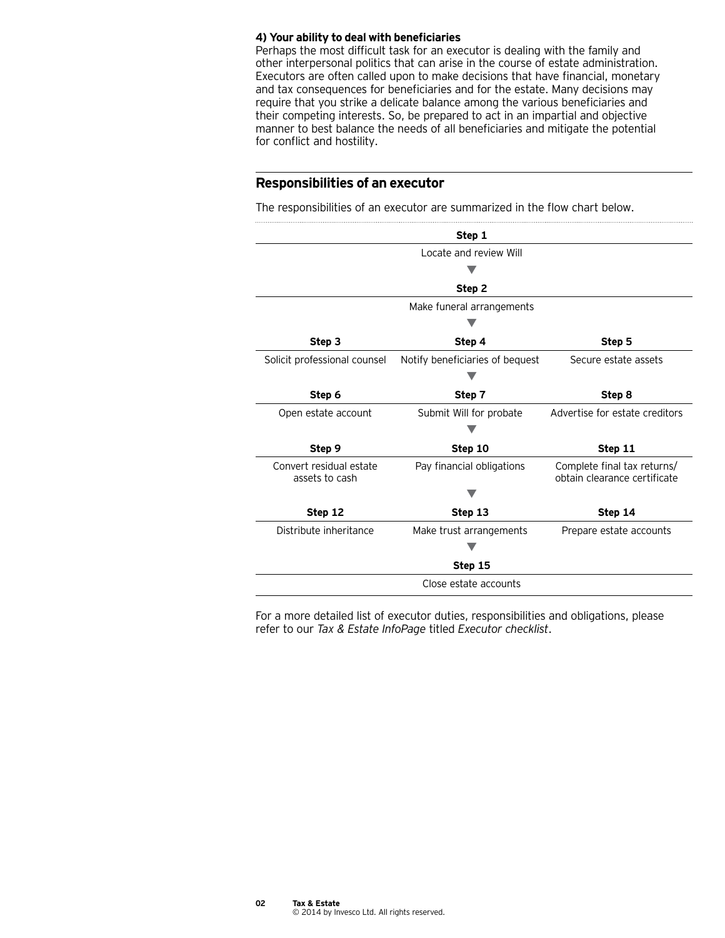#### **4) Your ability to deal with beneficiaries**

Perhaps the most difficult task for an executor is dealing with the family and other interpersonal politics that can arise in the course of estate administration. Executors are often called upon to make decisions that have financial, monetary and tax consequences for beneficiaries and for the estate. Many decisions may require that you strike a delicate balance among the various beneficiaries and their competing interests. So, be prepared to act in an impartial and objective manner to best balance the needs of all beneficiaries and mitigate the potential for conflict and hostility.

# **Responsibilities of an executor**

The responsibilities of an executor are summarized in the flow chart below.

|                                           | Step 1                          |                                                             |
|-------------------------------------------|---------------------------------|-------------------------------------------------------------|
|                                           | Locate and review Will          |                                                             |
|                                           |                                 |                                                             |
|                                           | Step 2                          |                                                             |
|                                           | Make funeral arrangements       |                                                             |
|                                           |                                 |                                                             |
| Step 3                                    | Step 4                          | Step 5                                                      |
| Solicit professional counsel              | Notify beneficiaries of bequest | Secure estate assets                                        |
|                                           |                                 |                                                             |
| Step 6                                    | Step 7                          | Step 8                                                      |
| Open estate account                       | Submit Will for probate         | Advertise for estate creditors                              |
|                                           |                                 |                                                             |
| Step 9                                    | Step 10                         | Step 11                                                     |
| Convert residual estate<br>assets to cash | Pay financial obligations       | Complete final tax returns/<br>obtain clearance certificate |
|                                           |                                 |                                                             |
| Step 12                                   | Step 13                         | Step 14                                                     |
| Distribute inheritance                    | Make trust arrangements         | Prepare estate accounts                                     |
|                                           |                                 |                                                             |
|                                           | Step 15                         |                                                             |
|                                           | Close estate accounts           |                                                             |

For a more detailed list of executor duties, responsibilities and obligations, please refer to our *Tax & Estate InfoPage* titled *Executor checklist*.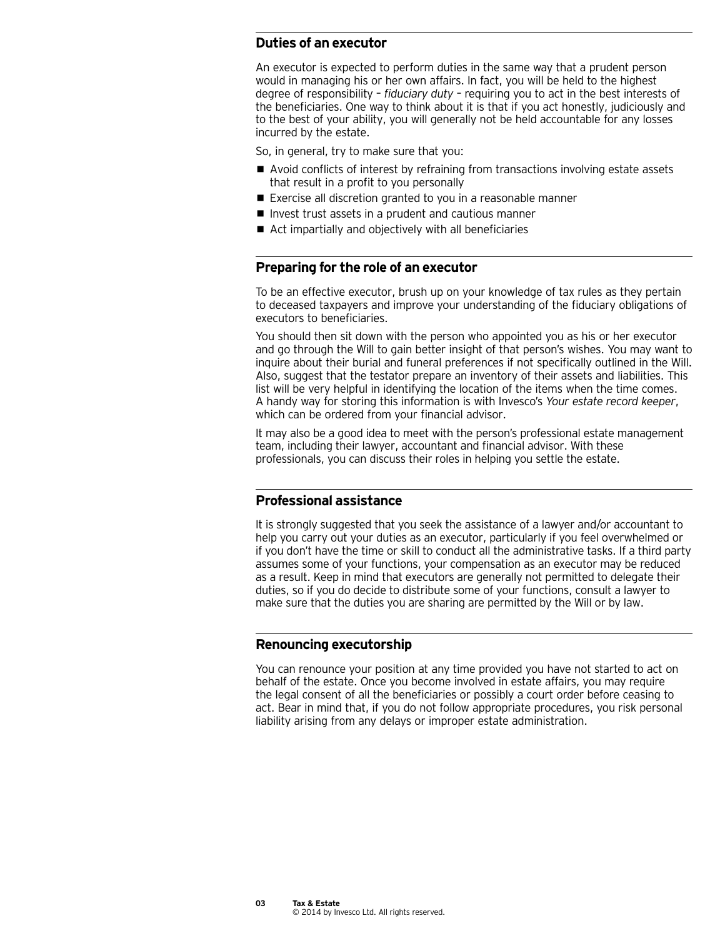# **Duties of an executor**

An executor is expected to perform duties in the same way that a prudent person would in managing his or her own affairs. In fact, you will be held to the highest degree of responsibility – *fiduciary duty* – requiring you to act in the best interests of the beneficiaries. One way to think about it is that if you act honestly, judiciously and to the best of your ability, you will generally not be held accountable for any losses incurred by the estate.

So, in general, try to make sure that you:

- Avoid conflicts of interest by refraining from transactions involving estate assets that result in a profit to you personally
- Exercise all discretion granted to you in a reasonable manner
- $\blacksquare$  Invest trust assets in a prudent and cautious manner
- Act impartially and objectively with all beneficiaries

#### **Preparing for the role of an executor**

To be an effective executor, brush up on your knowledge of tax rules as they pertain to deceased taxpayers and improve your understanding of the fiduciary obligations of executors to beneficiaries.

You should then sit down with the person who appointed you as his or her executor and go through the Will to gain better insight of that person's wishes. You may want to inquire about their burial and funeral preferences if not specifically outlined in the Will. Also, suggest that the testator prepare an inventory of their assets and liabilities. This list will be very helpful in identifying the location of the items when the time comes. A handy way for storing this information is with Invesco's *Your estate record keeper*, which can be ordered from your financial advisor.

It may also be a good idea to meet with the person's professional estate management team, including their lawyer, accountant and financial advisor. With these professionals, you can discuss their roles in helping you settle the estate.

#### **Professional assistance**

It is strongly suggested that you seek the assistance of a lawyer and/or accountant to help you carry out your duties as an executor, particularly if you feel overwhelmed or if you don't have the time or skill to conduct all the administrative tasks. If a third party assumes some of your functions, your compensation as an executor may be reduced as a result. Keep in mind that executors are generally not permitted to delegate their duties, so if you do decide to distribute some of your functions, consult a lawyer to make sure that the duties you are sharing are permitted by the Will or by law.

#### **Renouncing executorship**

You can renounce your position at any time provided you have not started to act on behalf of the estate. Once you become involved in estate affairs, you may require the legal consent of all the beneficiaries or possibly a court order before ceasing to act. Bear in mind that, if you do not follow appropriate procedures, you risk personal liability arising from any delays or improper estate administration.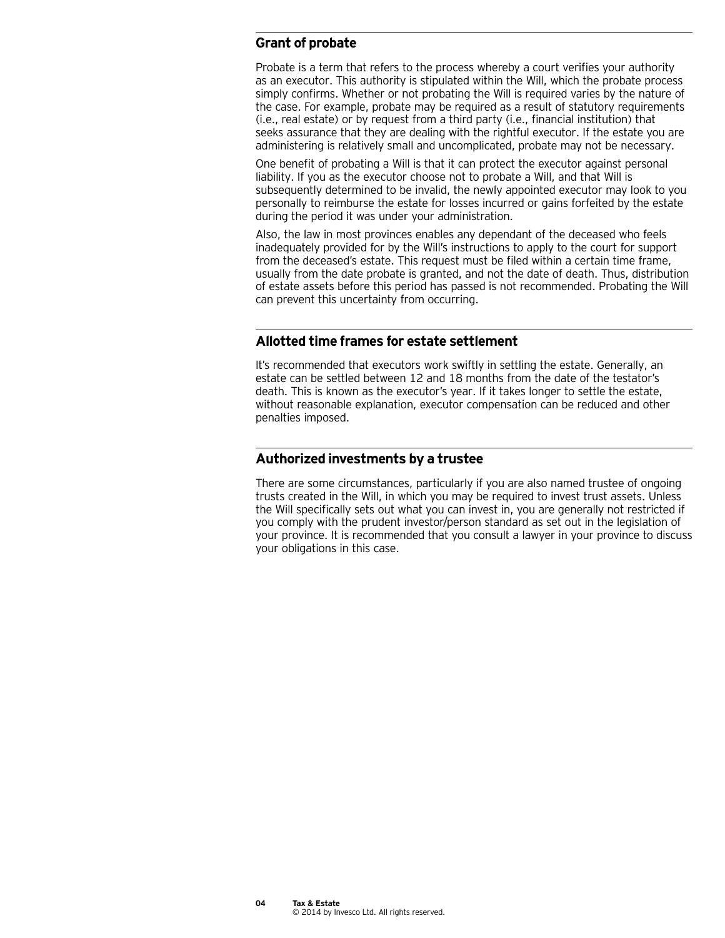# **Grant of probate**

Probate is a term that refers to the process whereby a court verifies your authority as an executor. This authority is stipulated within the Will, which the probate process simply confirms. Whether or not probating the Will is required varies by the nature of the case. For example, probate may be required as a result of statutory requirements (i.e., real estate) or by request from a third party (i.e., financial institution) that seeks assurance that they are dealing with the rightful executor. If the estate you are administering is relatively small and uncomplicated, probate may not be necessary.

One benefit of probating a Will is that it can protect the executor against personal liability. If you as the executor choose not to probate a Will, and that Will is subsequently determined to be invalid, the newly appointed executor may look to you personally to reimburse the estate for losses incurred or gains forfeited by the estate during the period it was under your administration.

Also, the law in most provinces enables any dependant of the deceased who feels inadequately provided for by the Will's instructions to apply to the court for support from the deceased's estate. This request must be filed within a certain time frame, usually from the date probate is granted, and not the date of death. Thus, distribution of estate assets before this period has passed is not recommended. Probating the Will can prevent this uncertainty from occurring.

## **Allotted time frames for estate settlement**

It's recommended that executors work swiftly in settling the estate. Generally, an estate can be settled between 12 and 18 months from the date of the testator's death. This is known as the executor's year. If it takes longer to settle the estate, without reasonable explanation, executor compensation can be reduced and other penalties imposed.

# **Authorized investments by a trustee**

There are some circumstances, particularly if you are also named trustee of ongoing trusts created in the Will, in which you may be required to invest trust assets. Unless the Will specifically sets out what you can invest in, you are generally not restricted if you comply with the prudent investor/person standard as set out in the legislation of your province. It is recommended that you consult a lawyer in your province to discuss your obligations in this case.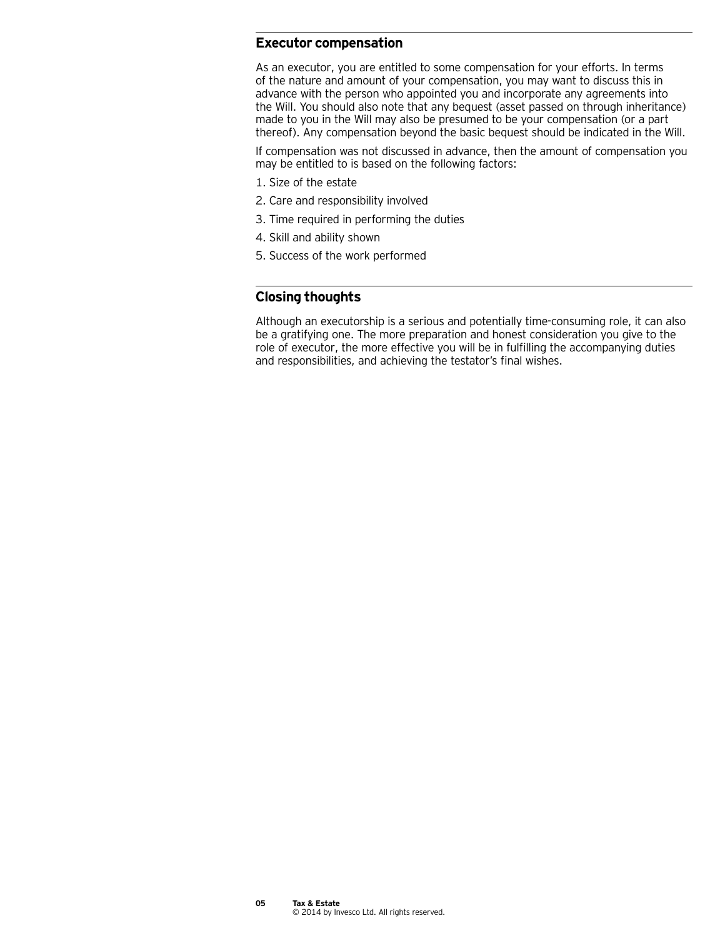#### **Executor compensation**

As an executor, you are entitled to some compensation for your efforts. In terms of the nature and amount of your compensation, you may want to discuss this in advance with the person who appointed you and incorporate any agreements into the Will. You should also note that any bequest (asset passed on through inheritance) made to you in the Will may also be presumed to be your compensation (or a part thereof). Any compensation beyond the basic bequest should be indicated in the Will.

If compensation was not discussed in advance, then the amount of compensation you may be entitled to is based on the following factors:

- 1. Size of the estate
- 2. Care and responsibility involved
- 3. Time required in performing the duties
- 4. Skill and ability shown
- 5. Success of the work performed

## **Closing thoughts**

Although an executorship is a serious and potentially time-consuming role, it can also be a gratifying one. The more preparation and honest consideration you give to the role of executor, the more effective you will be in fulfilling the accompanying duties and responsibilities, and achieving the testator's final wishes.